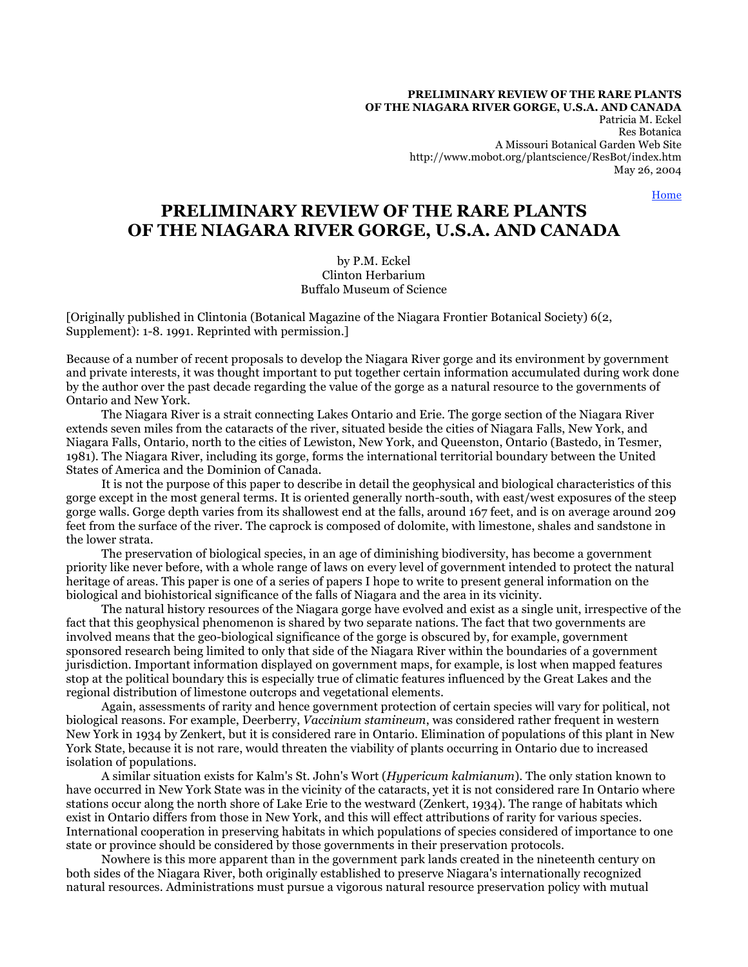**PRELIMINARY REVIEW OF THE RARE PLANTS OF THE NIAGARA RIVER GORGE, U.S.A. AND CANADA**

> Patricia M. Eckel Res Botanica A Missouri Botanical Garden Web Site http://www.mobot.org/plantscience/ResBot/index.htm May 26, 2004

> > Home

# **PRELIMINARY REVIEW OF THE RARE PLANTS OF THE NIAGARA RIVER GORGE, U.S.A. AND CANADA**

by P.M. Eckel Clinton Herbarium Buffalo Museum of Science

[Originally published in Clintonia (Botanical Magazine of the Niagara Frontier Botanical Society) 6(2, Supplement): 1-8. 1991. Reprinted with permission.]

Because of a number of recent proposals to develop the Niagara River gorge and its environment by government and private interests, it was thought important to put together certain information accumulated during work done by the author over the past decade regarding the value of the gorge as a natural resource to the governments of Ontario and New York.

 The Niagara River is a strait connecting Lakes Ontario and Erie. The gorge section of the Niagara River extends seven miles from the cataracts of the river, situated beside the cities of Niagara Falls, New York, and Niagara Falls, Ontario, north to the cities of Lewiston, New York, and Queenston, Ontario (Bastedo, in Tesmer, 1981). The Niagara River, including its gorge, forms the international territorial boundary between the United States of America and the Dominion of Canada.

 It is not the purpose of this paper to describe in detail the geophysical and biological characteristics of this gorge except in the most general terms. It is oriented generally north-south, with east/west exposures of the steep gorge walls. Gorge depth varies from its shallowest end at the falls, around 167 feet, and is on average around 209 feet from the surface of the river. The caprock is composed of dolomite, with limestone, shales and sandstone in the lower strata.

 The preservation of biological species, in an age of diminishing biodiversity, has become a government priority like never before, with a whole range of laws on every level of government intended to protect the natural heritage of areas. This paper is one of a series of papers I hope to write to present general information on the biological and biohistorical significance of the falls of Niagara and the area in its vicinity.

 The natural history resources of the Niagara gorge have evolved and exist as a single unit, irrespective of the fact that this geophysical phenomenon is shared by two separate nations. The fact that two governments are involved means that the geo-biological significance of the gorge is obscured by, for example, government sponsored research being limited to only that side of the Niagara River within the boundaries of a government jurisdiction. Important information displayed on government maps, for example, is lost when mapped features stop at the political boundary this is especially true of climatic features influenced by the Great Lakes and the regional distribution of limestone outcrops and vegetational elements.

 Again, assessments of rarity and hence government protection of certain species will vary for political, not biological reasons. For example, Deerberry, *Vaccinium stamineum*, was considered rather frequent in western New York in 1934 by Zenkert, but it is considered rare in Ontario. Elimination of populations of this plant in New York State, because it is not rare, would threaten the viability of plants occurring in Ontario due to increased isolation of populations.

 A similar situation exists for Kalm's St. John's Wort (*Hypericum kalmianum*). The only station known to have occurred in New York State was in the vicinity of the cataracts, yet it is not considered rare In Ontario where stations occur along the north shore of Lake Erie to the westward (Zenkert, 1934). The range of habitats which exist in Ontario differs from those in New York, and this will effect attributions of rarity for various species. International cooperation in preserving habitats in which populations of species considered of importance to one state or province should be considered by those governments in their preservation protocols.

 Nowhere is this more apparent than in the government park lands created in the nineteenth century on both sides of the Niagara River, both originally established to preserve Niagara's internationally recognized natural resources. Administrations must pursue a vigorous natural resource preservation policy with mutual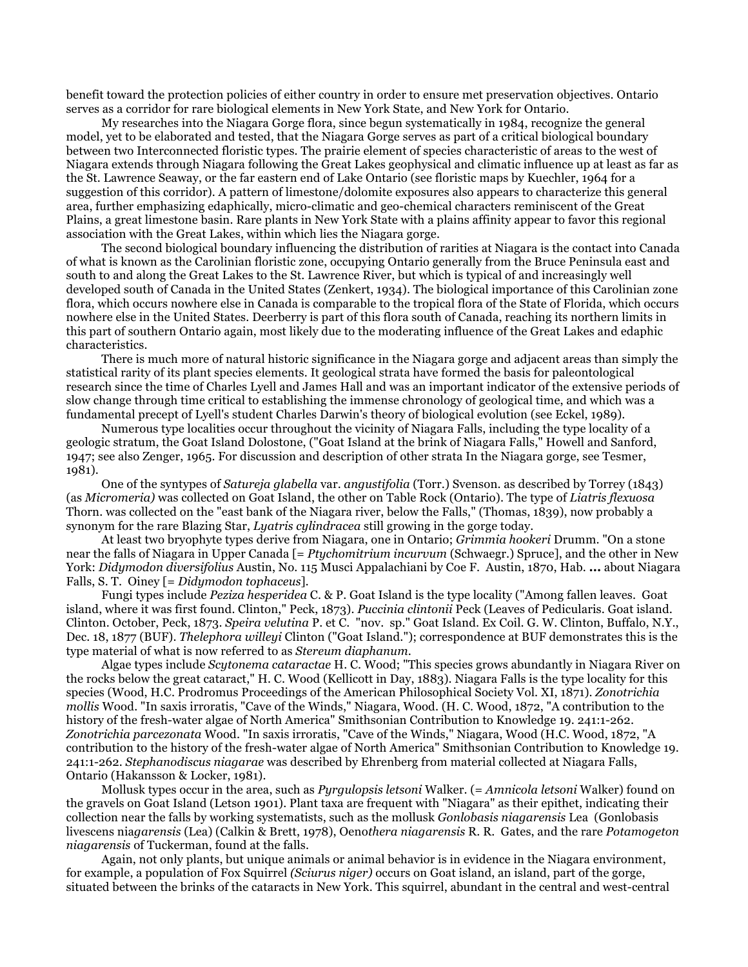benefit toward the protection policies of either country in order to ensure met preservation objectives. Ontario serves as a corridor for rare biological elements in New York State, and New York for Ontario.

 My researches into the Niagara Gorge flora, since begun systematically in 1984, recognize the general model, yet to be elaborated and tested, that the Niagara Gorge serves as part of a critical biological boundary between two Interconnected floristic types. The prairie element of species characteristic of areas to the west of Niagara extends through Niagara following the Great Lakes geophysical and climatic influence up at least as far as the St. Lawrence Seaway, or the far eastern end of Lake Ontario (see floristic maps by Kuechler, 1964 for a suggestion of this corridor). A pattern of limestone/dolomite exposures also appears to characterize this general area, further emphasizing edaphically, micro-climatic and geo-chemical characters reminiscent of the Great Plains, a great limestone basin. Rare plants in New York State with a plains affinity appear to favor this regional association with the Great Lakes, within which lies the Niagara gorge.

 The second biological boundary influencing the distribution of rarities at Niagara is the contact into Canada of what is known as the Carolinian floristic zone, occupying Ontario generally from the Bruce Peninsula east and south to and along the Great Lakes to the St. Lawrence River, but which is typical of and increasingly well developed south of Canada in the United States (Zenkert, 1934). The biological importance of this Carolinian zone flora, which occurs nowhere else in Canada is comparable to the tropical flora of the State of Florida, which occurs nowhere else in the United States. Deerberry is part of this flora south of Canada, reaching its northern limits in this part of southern Ontario again, most likely due to the moderating influence of the Great Lakes and edaphic characteristics.

 There is much more of natural historic significance in the Niagara gorge and adjacent areas than simply the statistical rarity of its plant species elements. It geological strata have formed the basis for paleontological research since the time of Charles Lyell and James Hall and was an important indicator of the extensive periods of slow change through time critical to establishing the immense chronology of geological time, and which was a fundamental precept of Lyell's student Charles Darwin's theory of biological evolution (see Eckel, 1989).

 Numerous type localities occur throughout the vicinity of Niagara Falls, including the type locality of a geologic stratum, the Goat Island Dolostone, ("Goat Island at the brink of Niagara Falls," Howell and Sanford, 1947; see also Zenger, 1965. For discussion and description of other strata In the Niagara gorge, see Tesmer, 1981).

 One of the syntypes of *Satureja glabella* var. *angustifolia* (Torr.) Svenson. as described by Torrey (1843) (as *Micromeria)* was collected on Goat Island, the other on Table Rock (Ontario). The type of *Liatris flexuosa* Thorn. was collected on the "east bank of the Niagara river, below the Falls," (Thomas, 1839), now probably a synonym for the rare Blazing Star, *Lyatris cylindracea* still growing in the gorge today.

 At least two bryophyte types derive from Niagara, one in Ontario; *Grimmia hookeri* Drumm. "On a stone near the falls of Niagara in Upper Canada [= *Ptychomitrium incurvum* (Schwaegr.) Spruce], and the other in New York: *Didymodon diversifolius* Austin, No. 115 Musci Appalachiani by Coe F. Austin, 1870, Hab. **...** about Niagara Falls, S. T. Oiney [= *Didymodon tophaceus*]*.*

 Fungi types include *Peziza hesperidea* C. & P. Goat Island is the type locality ("Among fallen leaves. Goat island, where it was first found. Clinton," Peck, 1873). *Puccinia clintonii* Peck (Leaves of Pedicularis. Goat island. Clinton. October, Peck, 1873. *Speira velutina* P. et C. "nov. sp." Goat Island. Ex Coil. G. W. Clinton, Buffalo, N.Y., Dec. 18, 1877 (BUF). *Thelephora willeyi* Clinton ("Goat Island."); correspondence at BUF demonstrates this is the type material of what is now referred to as *Stereum diaphanum*.

 Algae types include *Scytonema cataractae* H. C. Wood; "This species grows abundantly in Niagara River on the rocks below the great cataract," H. C. Wood (Kellicott in Day, 1883). Niagara Falls is the type locality for this species (Wood, H.C. Prodromus Proceedings of the American Philosophical Society Vol. XI, 1871). *Zonotrichia mollis* Wood. "In saxis irroratis, "Cave of the Winds," Niagara, Wood. (H. C. Wood, 1872, "A contribution to the history of the fresh-water algae of North America" Smithsonian Contribution to Knowledge 19. 241:1-262. *Zonotrichia parcezonata* Wood. "In saxis irroratis, "Cave of the Winds," Niagara, Wood (H.C. Wood, 1872, "A contribution to the history of the fresh-water algae of North America" Smithsonian Contribution to Knowledge 19. 241:1-262. *Stephanodiscus niagarae* was described by Ehrenberg from material collected at Niagara Falls, Ontario (Hakansson & Locker, 1981).

 Mollusk types occur in the area, such as *Pyrgulopsis letsoni* Walker. (= *Amnicola letsoni* Walker) found on the gravels on Goat Island (Letson 1901). Plant taxa are frequent with "Niagara" as their epithet, indicating their collection near the falls by working systematists, such as the mollusk *Gonlobasis niagarensis* Lea (Gonlobasis livescens nia*garensis* (Lea) (Calkin & Brett, 1978), Oeno*thera niagarensis* R. R. Gates, and the rare *Potamogeton niagarensis* of Tuckerman, found at the falls.

 Again, not only plants, but unique animals or animal behavior is in evidence in the Niagara environment, for example, a population of Fox Squirrel *(Sciurus niger)* occurs on Goat island, an island, part of the gorge, situated between the brinks of the cataracts in New York. This squirrel, abundant in the central and west-central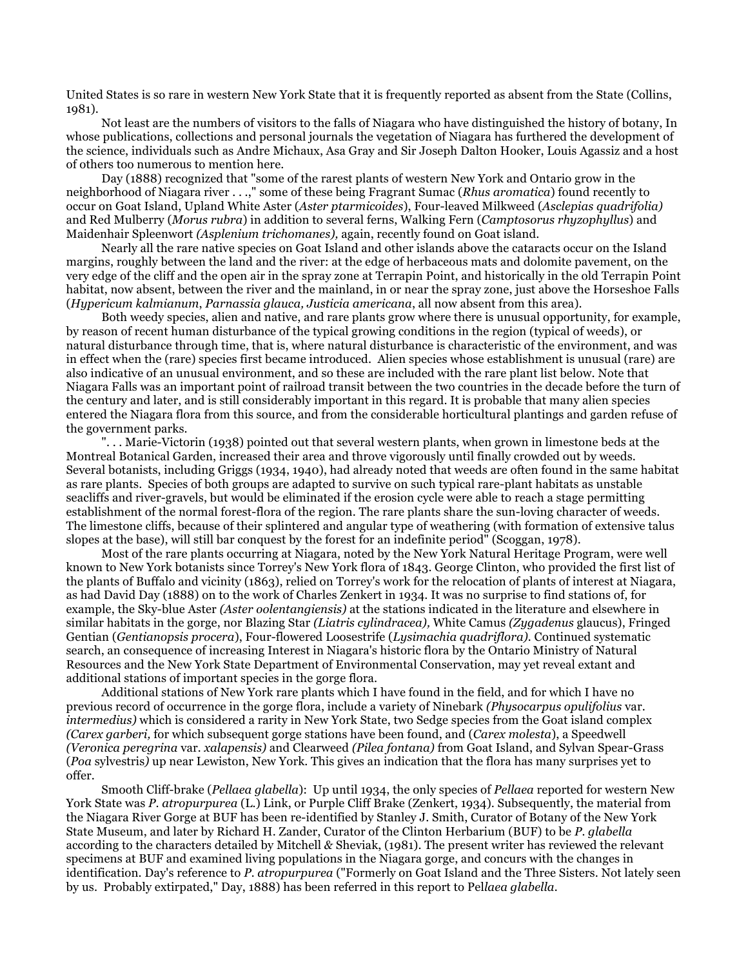United States is so rare in western New York State that it is frequently reported as absent from the State (Collins, 1981).

 Not least are the numbers of visitors to the falls of Niagara who have distinguished the history of botany, In whose publications, collections and personal journals the vegetation of Niagara has furthered the development of the science, individuals such as Andre Michaux, Asa Gray and Sir Joseph Dalton Hooker, Louis Agassiz and a host of others too numerous to mention here.

 Day (1888) recognized that "some of the rarest plants of western New York and Ontario grow in the neighborhood of Niagara river . . .," some of these being Fragrant Sumac (*Rhus aromatica*) found recently to occur on Goat Island, Upland White Aster (*Aster ptarmicoides*), Four-leaved Milkweed (*Asclepias quadrifolia)* and Red Mulberry (*Morus rubra*) in addition to several ferns, Walking Fern (*Camptosorus rhyzophyllus*) and Maidenhair Spleenwort *(Asplenium trichomanes),* again, recently found on Goat island.

 Nearly all the rare native species on Goat Island and other islands above the cataracts occur on the Island margins, roughly between the land and the river: at the edge of herbaceous mats and dolomite pavement, on the very edge of the cliff and the open air in the spray zone at Terrapin Point, and historically in the old Terrapin Point habitat, now absent, between the river and the mainland, in or near the spray zone, just above the Horseshoe Falls (*Hypericum kalmianum*, *Parnassia glauca, Justicia americana*, all now absent from this area).

 Both weedy species, alien and native, and rare plants grow where there is unusual opportunity, for example, by reason of recent human disturbance of the typical growing conditions in the region (typical of weeds), or natural disturbance through time, that is, where natural disturbance is characteristic of the environment, and was in effect when the (rare) species first became introduced. Alien species whose establishment is unusual (rare) are also indicative of an unusual environment, and so these are included with the rare plant list below. Note that Niagara Falls was an important point of railroad transit between the two countries in the decade before the turn of the century and later, and is still considerably important in this regard. It is probable that many alien species entered the Niagara flora from this source, and from the considerable horticultural plantings and garden refuse of the government parks.

 ". . . Marie-Victorin (1938) pointed out that several western plants, when grown in limestone beds at the Montreal Botanical Garden, increased their area and throve vigorously until finally crowded out by weeds. Several botanists, including Griggs (1934, 1940), had already noted that weeds are often found in the same habitat as rare plants. Species of both groups are adapted to survive on such typical rare-plant habitats as unstable seacliffs and river-gravels, but would be eliminated if the erosion cycle were able to reach a stage permitting establishment of the normal forest-flora of the region. The rare plants share the sun-loving character of weeds. The limestone cliffs, because of their splintered and angular type of weathering (with formation of extensive talus slopes at the base), will still bar conquest by the forest for an indefinite period" (Scoggan, 1978).

 Most of the rare plants occurring at Niagara, noted by the New York Natural Heritage Program, were well known to New York botanists since Torrey's New York flora of 1843. George Clinton, who provided the first list of the plants of Buffalo and vicinity (1863), relied on Torrey's work for the relocation of plants of interest at Niagara, as had David Day (1888) on to the work of Charles Zenkert in 1934. It was no surprise to find stations of, for example, the Sky-blue Aster *(Aster oolentangiensis)* at the stations indicated in the literature and elsewhere in similar habitats in the gorge, nor Blazing Star *(Liatris cylindracea),* White Camus *(Zygadenus* glaucus), Fringed Gentian (*Gentianopsis procera*), Four-flowered Loosestrife (*Lysimachia quadriflora).* Continued systematic search, an consequence of increasing Interest in Niagara's historic flora by the Ontario Ministry of Natural Resources and the New York State Department of Environmental Conservation, may yet reveal extant and additional stations of important species in the gorge flora.

 Additional stations of New York rare plants which I have found in the field, and for which I have no previous record of occurrence in the gorge flora, include a variety of Ninebark *(Physocarpus opulifolius* var. *intermedius)* which is considered a rarity in New York State, two Sedge species from the Goat island complex *(Carex garberi,* for which subsequent gorge stations have been found, and (*Carex molesta*), a Speedwell *(Veronica peregrina* var*. xalapensis)* and Clearweed *(Pilea fontana)* from Goat Island, and Sylvan Spear-Grass (*Poa* sylvestris*)* up near Lewiston, New York. This gives an indication that the flora has many surprises yet to offer.

 Smooth Cliff-brake (*Pellaea glabella*): Up until 1934, the only species of *Pellaea* reported for western New York State was *P*. *atropurpurea* (L.) Link, or Purple Cliff Brake (Zenkert, 1934). Subsequently, the material from the Niagara River Gorge at BUF has been re-identified by Stanley J. Smith, Curator of Botany of the New York State Museum, and later by Richard H. Zander, Curator of the Clinton Herbarium (BUF) to be *P. glabella* according to the characters detailed by Mitchell *&* Sheviak, (1981). The present writer has reviewed the relevant specimens at BUF and examined living populations in the Niagara gorge, and concurs with the changes in identification. Day's reference to *P. atropurpurea* ("Formerly on Goat Island and the Three Sisters. Not lately seen by us. Probably extirpated," Day, 1888) has been referred in this report to Pel*laea glabella.*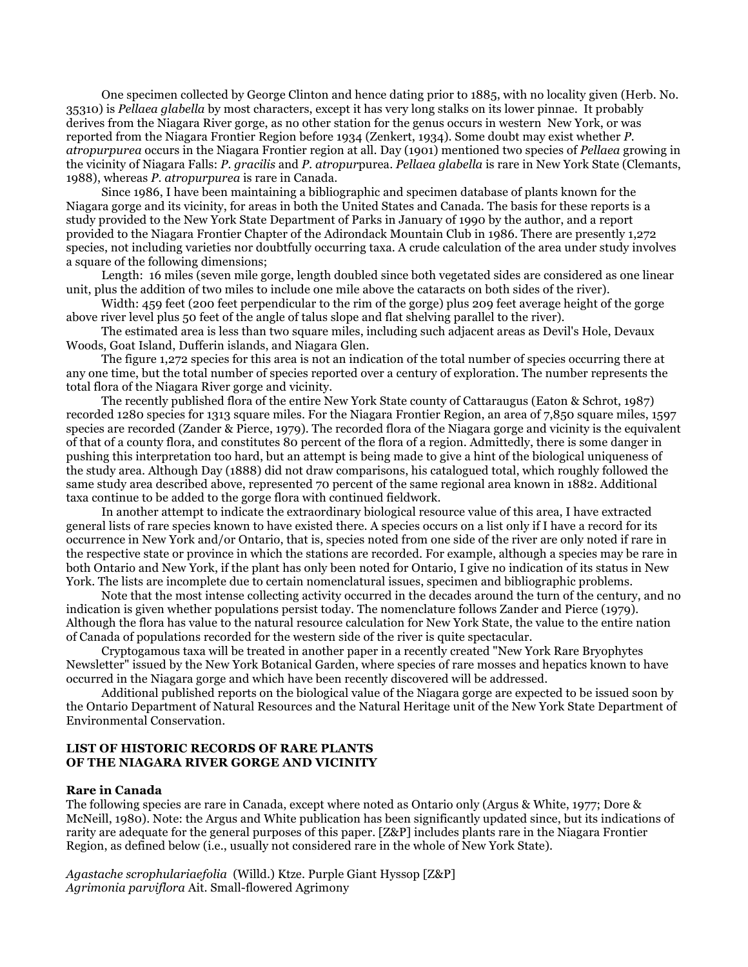One specimen collected by George Clinton and hence dating prior to 1885, with no locality given (Herb. No. 35310) is *Pellaea glabella* by most characters, except it has very long stalks on its lower pinnae. It probably derives from the Niagara River gorge, as no other station for the genus occurs in western New York, or was reported from the Niagara Frontier Region before 1934 (Zenkert, 1934). Some doubt may exist whether *P. atropurpurea* occurs in the Niagara Frontier region at all. Day (1901) mentioned two species of *Pellaea* growing in the vicinity of Niagara Falls: *P. gracilis* and *P. atropur*purea. *Pellaea glabella* is rare in New York State (Clemants, 1988), whereas *P. atropurpurea* is rare in Canada.

 Since 1986, I have been maintaining a bibliographic and specimen database of plants known for the Niagara gorge and its vicinity, for areas in both the United States and Canada. The basis for these reports is a study provided to the New York State Department of Parks in January of 1990 by the author, and a report provided to the Niagara Frontier Chapter of the Adirondack Mountain Club in 1986. There are presently 1,272 species, not including varieties nor doubtfully occurring taxa. A crude calculation of the area under study involves a square of the following dimensions;

 Length: 16 miles (seven mile gorge, length doubled since both vegetated sides are considered as one linear unit, plus the addition of two miles to include one mile above the cataracts on both sides of the river).

 Width: 459 feet (200 feet perpendicular to the rim of the gorge) plus 209 feet average height of the gorge above river level plus 50 feet of the angle of talus slope and flat shelving parallel to the river).

 The estimated area is less than two square miles, including such adjacent areas as Devil's Hole, Devaux Woods, Goat Island, Dufferin islands, and Niagara Glen.

 The figure 1,272 species for this area is not an indication of the total number of species occurring there at any one time, but the total number of species reported over a century of exploration. The number represents the total flora of the Niagara River gorge and vicinity.

 The recently published flora of the entire New York State county of Cattaraugus (Eaton & Schrot, 1987) recorded 1280 species for 1313 square miles. For the Niagara Frontier Region, an area of 7,850 square miles, 1597 species are recorded (Zander & Pierce, 1979). The recorded flora of the Niagara gorge and vicinity is the equivalent of that of a county flora, and constitutes 80 percent of the flora of a region. Admittedly, there is some danger in pushing this interpretation too hard, but an attempt is being made to give a hint of the biological uniqueness of the study area. Although Day (1888) did not draw comparisons, his catalogued total, which roughly followed the same study area described above, represented 70 percent of the same regional area known in 1882. Additional taxa continue to be added to the gorge flora with continued fieldwork.

 In another attempt to indicate the extraordinary biological resource value of this area, I have extracted general lists of rare species known to have existed there. A species occurs on a list only if I have a record for its occurrence in New York and/or Ontario, that is, species noted from one side of the river are only noted if rare in the respective state or province in which the stations are recorded. For example, although a species may be rare in both Ontario and New York, if the plant has only been noted for Ontario, I give no indication of its status in New York. The lists are incomplete due to certain nomenclatural issues, specimen and bibliographic problems.

 Note that the most intense collecting activity occurred in the decades around the turn of the century, and no indication is given whether populations persist today. The nomenclature follows Zander and Pierce (1979). Although the flora has value to the natural resource calculation for New York State, the value to the entire nation of Canada of populations recorded for the western side of the river is quite spectacular.

 Cryptogamous taxa will be treated in another paper in a recently created "New York Rare Bryophytes Newsletter" issued by the New York Botanical Garden, where species of rare mosses and hepatics known to have occurred in the Niagara gorge and which have been recently discovered will be addressed.

 Additional published reports on the biological value of the Niagara gorge are expected to be issued soon by the Ontario Department of Natural Resources and the Natural Heritage unit of the New York State Department of Environmental Conservation.

#### **LIST OF HISTORIC RECORDS OF RARE PLANTS OF THE NIAGARA RIVER GORGE AND VICINITY**

#### **Rare in Canada**

The following species are rare in Canada, except where noted as Ontario only (Argus & White, 1977; Dore & McNeill, 1980). Note: the Argus and White publication has been significantly updated since, but its indications of rarity are adequate for the general purposes of this paper. [Z&P] includes plants rare in the Niagara Frontier Region, as defined below (i.e., usually not considered rare in the whole of New York State).

*Agastache scrophulariaefolia* (Willd.) Ktze. Purple Giant Hyssop [Z&P] *Agrimonia parviflora* Ait. Small-flowered Agrimony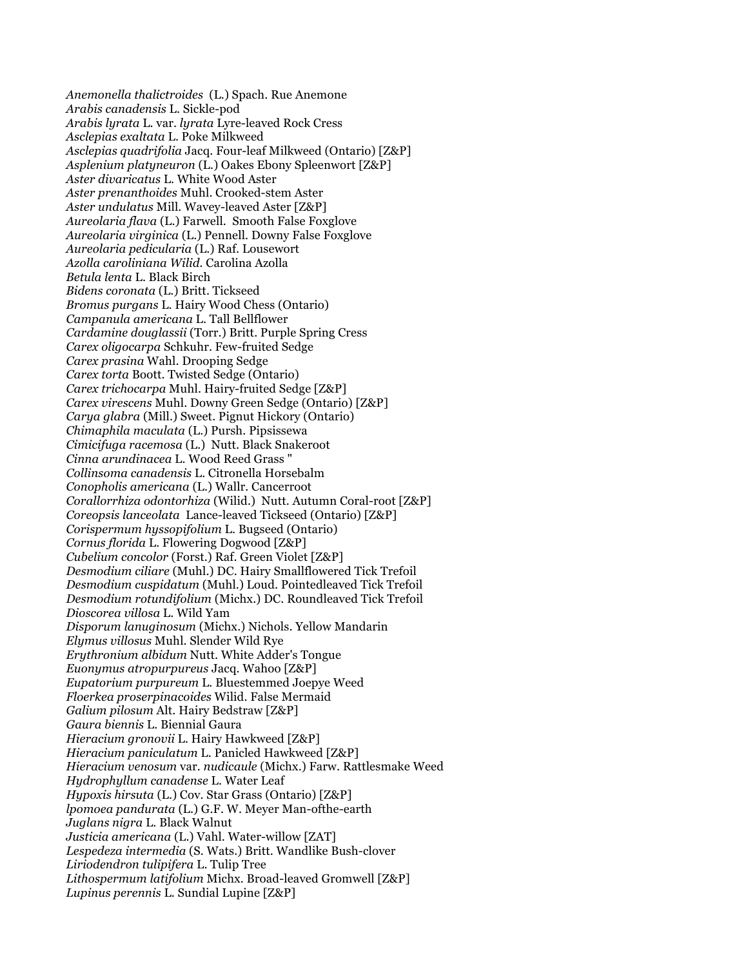*Anemonella thalictroides* (L.) Spach. Rue Anemone *Arabis canadensis* L. Sickle-pod *Arabis lyrata* L. var. *lyrata* Lyre-leaved Rock Cress *Asclepias exaltata* L. Poke Milkweed *Asclepias quadrifolia* Jacq. Four-leaf Milkweed (Ontario) [Z&P] *Asplenium platyneuron* (L.) Oakes Ebony Spleenwort [Z&P] *Aster divaricatus* L. White Wood Aster *Aster prenanthoides* Muhl. Crooked-stem Aster *Aster undulatus* Mill. Wavey-leaved Aster [Z&P] *Aureolaria flava* (L.) Farwell. Smooth False Foxglove *Aureolaria virginica* (L.) Pennell. Downy False Foxglove *Aureolaria pedicularia* (L.) Raf. Lousewort *Azolla caroliniana Wilid.* Carolina Azolla *Betula lenta* L. Black Birch *Bidens coronata* (L.) Britt. Tickseed *Bromus purgans* L. Hairy Wood Chess (Ontario) *Campanula americana* L. Tall Bellflower *Cardamine douglassii* (Torr.) Britt. Purple Spring Cress *Carex oligocarpa* Schkuhr. Few-fruited Sedge *Carex prasina* Wahl. Drooping Sedge *Carex torta* Boott. Twisted Sedge (Ontario) *Carex trichocarpa* Muhl. Hairy-fruited Sedge [Z&P] *Carex virescens* Muhl. Downy Green Sedge (Ontario) [Z&P] *Carya glabra* (Mill.) Sweet. Pignut Hickory (Ontario) *Chimaphila maculata* (L.) Pursh. Pipsissewa *Cimicifuga racemosa* (L.) Nutt. Black Snakeroot *Cinna arundinacea* L. Wood Reed Grass " *Collinsoma canadensis* L. Citronella Horsebalm *Conopholis americana* (L.) Wallr. Cancerroot *Corallorrhiza odontorhiza* (Wilid.) Nutt. Autumn Coral-root [Z&P] *Coreopsis lanceolata* Lance-leaved Tickseed (Ontario) [Z&P] *Corispermum hyssopifolium* L. Bugseed (Ontario) *Cornus florida* L. Flowering Dogwood [Z&P] *Cubelium concolor* (Forst.) Raf. Green Violet [Z&P] *Desmodium ciliare* (Muhl.) DC. Hairy Smallflowered Tick Trefoil *Desmodium cuspidatum* (Muhl.) Loud. Pointedleaved Tick Trefoil *Desmodium rotundifolium* (Michx.) DC. Roundleaved Tick Trefoil *Dioscorea villosa* L. Wild Yam *Disporum lanuginosum* (Michx.) Nichols. Yellow Mandarin *Elymus villosus* Muhl. Slender Wild Rye *Erythronium albidum* Nutt. White Adder's Tongue *Euonymus atropurpureus* Jacq. Wahoo [Z&P] *Eupatorium purpureum* L. Bluestemmed Joepye Weed *Floerkea proserpinacoides* Wilid. False Mermaid *Galium pilosum* Alt. Hairy Bedstraw [Z&P] *Gaura biennis* L. Biennial Gaura *Hieracium gronovii* L. Hairy Hawkweed [Z&P] *Hieracium paniculatum* L. Panicled Hawkweed [Z&P] *Hieracium venosum* var. *nudicaule* (Michx.) Farw. Rattlesmake Weed *Hydrophyllum canadense* L. Water Leaf *Hypoxis hirsuta* (L.) Cov. Star Grass (Ontario) [Z&P] *lpomoea pandurata* (L.) G.F. W. Meyer Man-ofthe-earth *Juglans nigra* L. Black Walnut *Justicia americana* (L.) Vahl. Water-willow [ZAT] *Lespedeza intermedia* (S. Wats.) Britt. Wandlike Bush-clover *Liriodendron tulipifera* L. Tulip Tree *Lithospermum latifolium* Michx. Broad-leaved Gromwell [Z&P] *Lupinus perennis* L. Sundial Lupine [Z&P]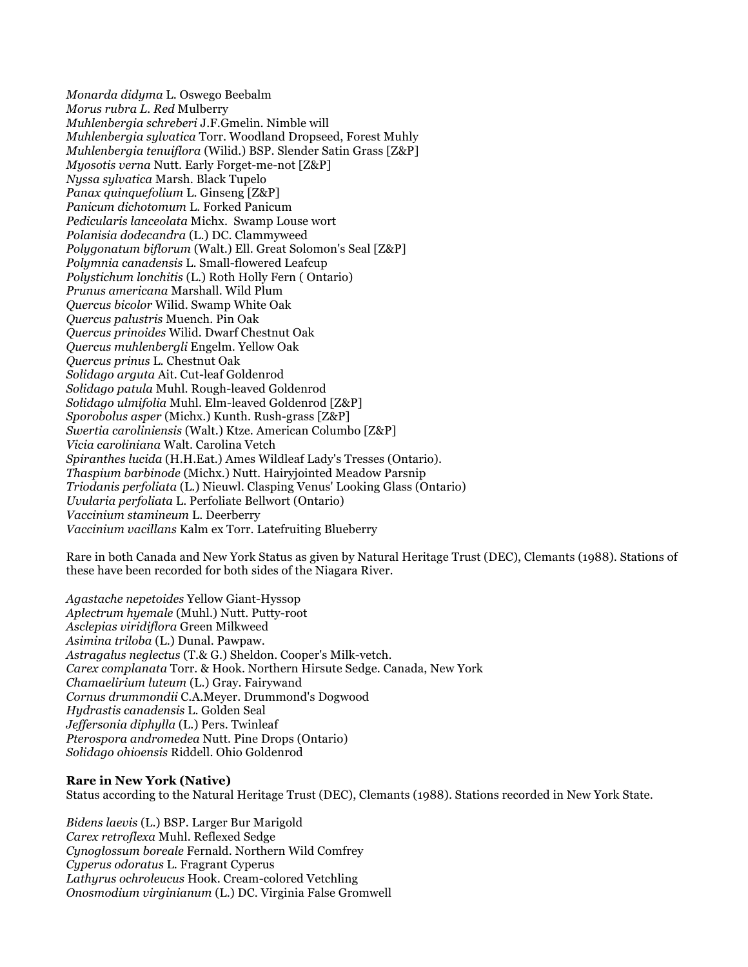*Monarda didyma* L. Oswego Beebalm *Morus rubra L. Red* Mulberry *Muhlenbergia schreberi* J.F.Gmelin. Nimble will *Muhlenbergia sylvatica* Torr. Woodland Dropseed, Forest Muhly *Muhlenbergia tenuiflora* (Wilid.) BSP. Slender Satin Grass [Z&P] *Myosotis verna* Nutt. Early Forget-me-not [Z&P] *Nyssa sylvatica* Marsh. Black Tupelo *Panax quinquefolium* L. Ginseng [Z&P] *Panicum dichotomum* L. Forked Panicum *Pedicularis lanceolata* Michx. Swamp Louse wort *Polanisia dodecandra* (L.) DC. Clammyweed *Polygonatum biflorum* (Walt.) Ell. Great Solomon's Seal [Z&P] *Polymnia canadensis* L. Small-flowered Leafcup *Polystichum lonchitis* (L.) Roth Holly Fern ( Ontario) *Prunus americana* Marshall. Wild Plum *Quercus bicolor* Wilid. Swamp White Oak *Quercus palustris* Muench. Pin Oak *Quercus prinoides* Wilid. Dwarf Chestnut Oak *Quercus muhlenbergli* Engelm. Yellow Oak *Quercus prinus* L. Chestnut Oak *Solidago arguta* Ait. Cut-leaf Goldenrod *Solidago patula* Muhl. Rough-leaved Goldenrod *Solidago ulmifolia* Muhl. Elm-leaved Goldenrod [Z&P] *Sporobolus asper* (Michx.) Kunth. Rush-grass [Z&P] *Swertia caroliniensis* (Walt.) Ktze. American Columbo [Z&P] *Vicia caroliniana* Walt. Carolina Vetch *Spiranthes lucida* (H.H.Eat.) Ames Wildleaf Lady's Tresses (Ontario). *Thaspium barbinode* (Michx.) Nutt. Hairyjointed Meadow Parsnip *Triodanis perfoliata* (L.) Nieuwl. Clasping Venus' Looking Glass (Ontario) *Uvularia perfoliata* L. Perfoliate Bellwort (Ontario) *Vaccinium stamineum* L. Deerberry *Vaccinium vacillans* Kalm ex Torr. Latefruiting Blueberry

Rare in both Canada and New York Status as given by Natural Heritage Trust (DEC), Clemants (1988). Stations of these have been recorded for both sides of the Niagara River.

*Agastache nepetoides* Yellow Giant-Hyssop *Aplectrum hyemale* (Muhl.) Nutt. Putty-root *Asclepias viridiflora* Green Milkweed *Asimina triloba* (L.) Dunal. Pawpaw. *Astragalus neglectus* (T.& G.) Sheldon. Cooper's Milk-vetch. *Carex complanata* Torr. & Hook. Northern Hirsute Sedge. Canada, New York *Chamaelirium luteum* (L.) Gray. Fairywand *Cornus drummondii* C.A.Meyer. Drummond's Dogwood *Hydrastis canadensis* L. Golden Seal *Jeffersonia diphylla* (L.) Pers. Twinleaf *Pterospora andromedea* Nutt. Pine Drops (Ontario) *Solidago ohioensis* Riddell. Ohio Goldenrod

### **Rare in New York (Native)**

Status according to the Natural Heritage Trust (DEC), Clemants (1988). Stations recorded in New York State.

*Bidens laevis* (L.) BSP. Larger Bur Marigold *Carex retroflexa* Muhl. Reflexed Sedge *Cynoglossum boreale* Fernald. Northern Wild Comfrey *Cyperus odoratus* L. Fragrant Cyperus *Lathyrus ochroleucus* Hook. Cream-colored Vetchling *Onosmodium virginianum* (L.) DC. Virginia False Gromwell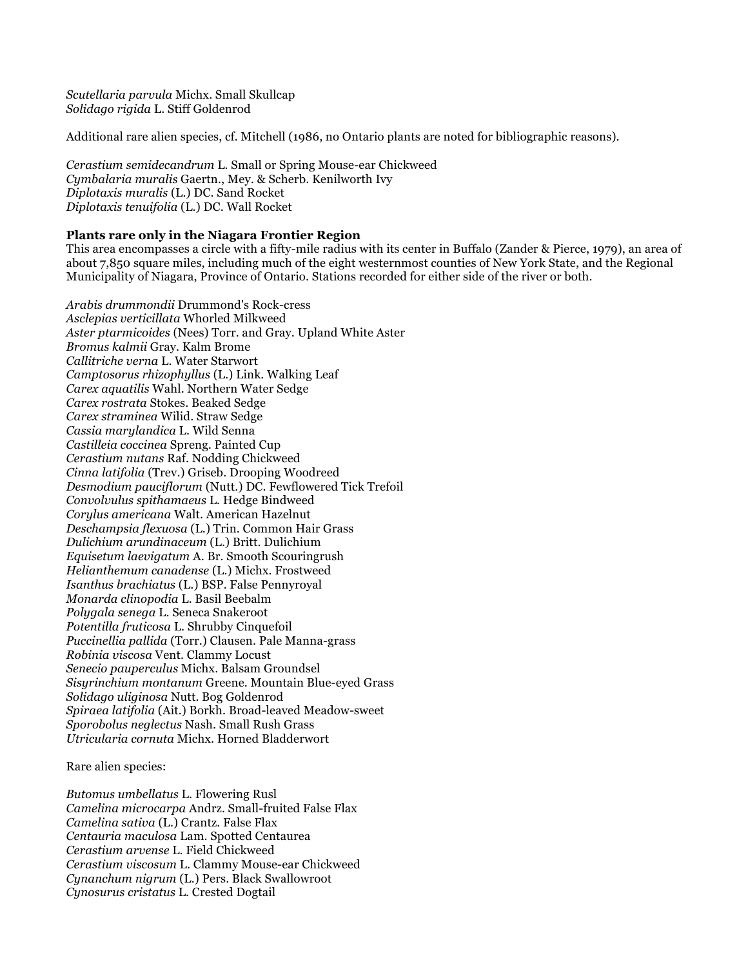*Scutellaria parvula* Michx. Small Skullcap *Solidago rigida* L. Stiff Goldenrod

Additional rare alien species, cf. Mitchell (1986, no Ontario plants are noted for bibliographic reasons).

*Cerastium semidecandrum* L. Small or Spring Mouse-ear Chickweed *Cymbalaria muralis* Gaertn., Mey. & Scherb. Kenilworth Ivy *Diplotaxis muralis* (L.) DC. Sand Rocket *Diplotaxis tenuifolia* (L.) DC. Wall Rocket

### **Plants rare only in the Niagara Frontier Region**

This area encompasses a circle with a fifty-mile radius with its center in Buffalo (Zander & Pierce, 1979), an area of about 7,850 square miles, including much of the eight westernmost counties of New York State, and the Regional Municipality of Niagara, Province of Ontario. Stations recorded for either side of the river or both.

*Arabis drummondii* Drummond's Rock-cress *Asclepias verticillata* Whorled Milkweed *Aster ptarmicoides* (Nees) Torr. and Gray. Upland White Aster *Bromus kalmii* Gray. Kalm Brome *Callitriche verna* L. Water Starwort *Camptosorus rhizophyllus* (L.) Link. Walking Leaf *Carex aquatilis* Wahl. Northern Water Sedge *Carex rostrata* Stokes. Beaked Sedge *Carex straminea* Wilid. Straw Sedge *Cassia marylandica* L. Wild Senna *Castilleia coccinea* Spreng. Painted Cup *Cerastium nutans* Raf. Nodding Chickweed *Cinna latifolia* (Trev.) Griseb. Drooping Woodreed *Desmodium pauciflorum* (Nutt.) DC. Fewflowered Tick Trefoil *Convolvulus spithamaeus* L. Hedge Bindweed *Corylus americana* Walt. American Hazelnut *Deschampsia flexuosa* (L.) Trin. Common Hair Grass *Dulichium arundinaceum* (L.) Britt. Dulichium *Equisetum laevigatum* A. Br. Smooth Scouringrush *Helianthemum canadense* (L.) Michx. Frostweed *Isanthus brachiatus* (L.) BSP. False Pennyroyal *Monarda clinopodia* L. Basil Beebalm *Polygala senega* L. Seneca Snakeroot *Potentilla fruticosa* L. Shrubby Cinquefoil *Puccinellia pallida* (Torr.) Clausen. Pale Manna-grass *Robinia viscosa* Vent. Clammy Locust *Senecio pauperculus* Michx. Balsam Groundsel *Sisyrinchium montanum* Greene. Mountain Blue-eyed Grass *Solidago uliginosa* Nutt. Bog Goldenrod *Spiraea latifolia* (Ait.) Borkh. Broad-leaved Meadow-sweet *Sporobolus neglectus* Nash. Small Rush Grass *Utricularia cornuta* Michx. Horned Bladderwort

Rare alien species:

*Butomus umbellatus* L. Flowering Rusl *Camelina microcarpa* Andrz. Small-fruited False Flax *Camelina sativa* (L.) Crantz. False Flax *Centauria maculosa* Lam. Spotted Centaurea *Cerastium arvense* L. Field Chickweed *Cerastium viscosum* L. Clammy Mouse-ear Chickweed *Cynanchum nigrum* (L.) Pers. Black Swallowroot *Cynosurus cristatus* L. Crested Dogtail